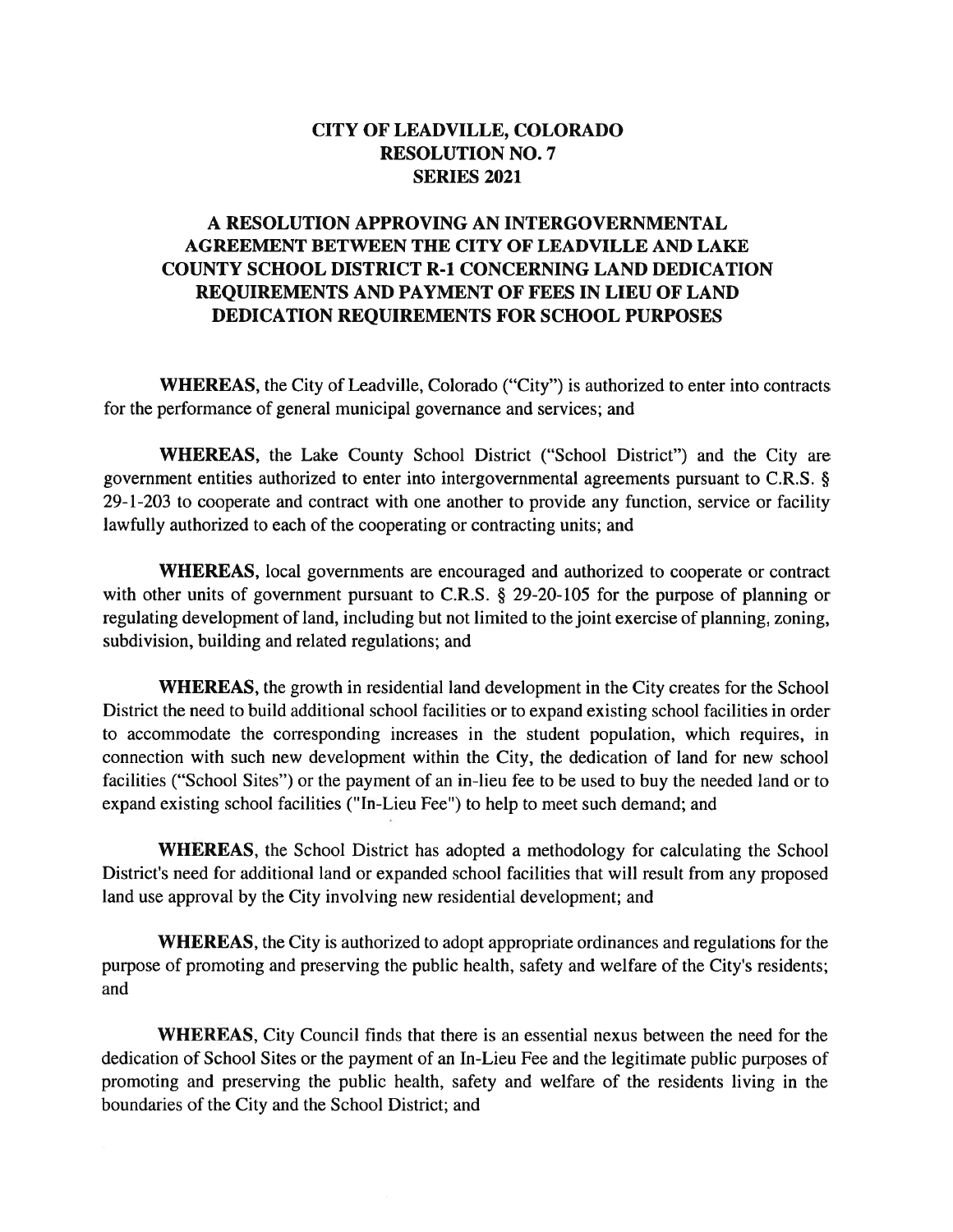### CITY OF LEADVILLE, COLORADO **RESOLUTION NO. 7 SERIES 2021**

## A RESOLUTION APPROVING AN INTERGOVERNMENTAL AGREEMENT BETWEEN THE CITY OF LEADVILLE AND LAKE **COUNTY SCHOOL DISTRICT R-1 CONCERNING LAND DEDICATION** REQUIREMENTS AND PAYMENT OF FEES IN LIEU OF LAND DEDICATION REQUIREMENTS FOR SCHOOL PURPOSES

**WHEREAS**, the City of Leadville, Colorado ("City") is authorized to enter into contracts for the performance of general municipal governance and services; and

WHEREAS, the Lake County School District ("School District") and the City are government entities authorized to enter into intergovernmental agreements pursuant to C.R.S. § 29-1-203 to cooperate and contract with one another to provide any function, service or facility lawfully authorized to each of the cooperating or contracting units; and

WHEREAS, local governments are encouraged and authorized to cooperate or contract with other units of government pursuant to C.R.S. § 29-20-105 for the purpose of planning or regulating development of land, including but not limited to the joint exercise of planning, zoning, subdivision, building and related regulations; and

**WHEREAS**, the growth in residential land development in the City creates for the School District the need to build additional school facilities or to expand existing school facilities in order to accommodate the corresponding increases in the student population, which requires, in connection with such new development within the City, the dedication of land for new school facilities ("School Sites") or the payment of an in-lieu fee to be used to buy the needed land or to expand existing school facilities ("In-Lieu Fee") to help to meet such demand; and

**WHEREAS**, the School District has adopted a methodology for calculating the School District's need for additional land or expanded school facilities that will result from any proposed land use approval by the City involving new residential development; and

**WHEREAS**, the City is authorized to adopt appropriate ordinances and regulations for the purpose of promoting and preserving the public health, safety and welfare of the City's residents; and

**WHEREAS,** City Council finds that there is an essential nexus between the need for the dedication of School Sites or the payment of an In-Lieu Fee and the legitimate public purposes of promoting and preserving the public health, safety and welfare of the residents living in the boundaries of the City and the School District; and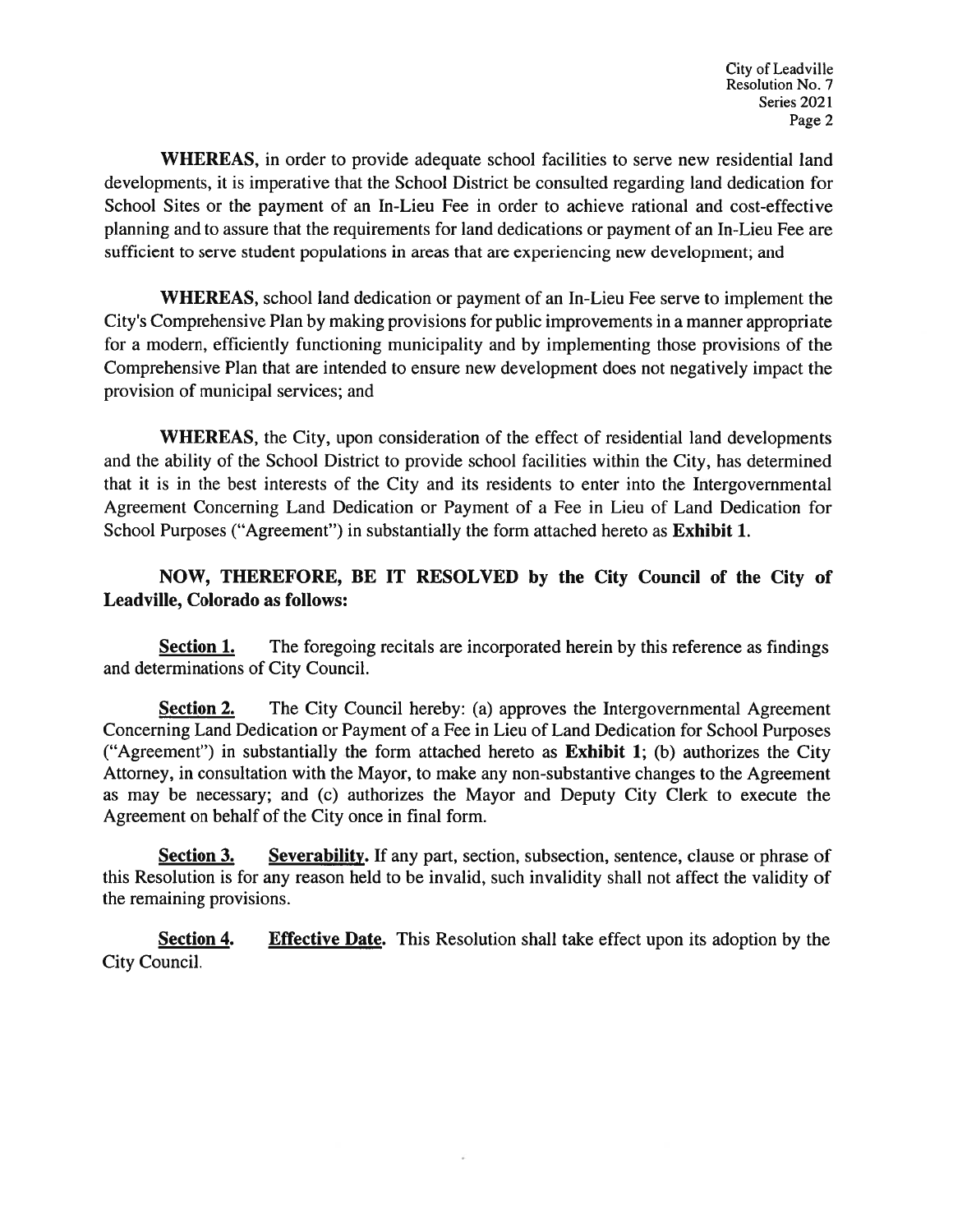**WHEREAS**, in order to provide adequate school facilities to serve new residential land developments, it is imperative that the School District be consulted regarding land dedication for School Sites or the payment of an In-Lieu Fee in order to achieve rational and cost-effective planning and to assure that the requirements for land dedications or payment of an In-Lieu Fee are sufficient to serve student populations in areas that are experiencing new development; and

**WHEREAS**, school land dedication or payment of an In-Lieu Fee serve to implement the City's Comprehensive Plan by making provisions for public improvements in a manner appropriate for a modern, efficiently functioning municipality and by implementing those provisions of the Comprehensive Plan that are intended to ensure new development does not negatively impact the provision of municipal services; and

**WHEREAS**, the City, upon consideration of the effect of residential land developments and the ability of the School District to provide school facilities within the City, has determined that it is in the best interests of the City and its residents to enter into the Intergovernmental Agreement Concerning Land Dedication or Payment of a Fee in Lieu of Land Dedication for School Purposes ("Agreement") in substantially the form attached hereto as Exhibit 1.

### NOW, THEREFORE, BE IT RESOLVED by the City Council of the City of Leadville, Colorado as follows:

The foregoing recitals are incorporated herein by this reference as findings **Section 1.** and determinations of City Council.

**Section 2.** The City Council hereby: (a) approves the Intergovernmental Agreement Concerning Land Dedication or Payment of a Fee in Lieu of Land Dedication for School Purposes ("Agreement") in substantially the form attached hereto as Exhibit 1; (b) authorizes the City Attorney, in consultation with the Mayor, to make any non-substantive changes to the Agreement as may be necessary; and (c) authorizes the Mayor and Deputy City Clerk to execute the Agreement on behalf of the City once in final form.

**Section 3.** Severability. If any part, section, subsection, sentence, clause or phrase of this Resolution is for any reason held to be invalid, such invalidity shall not affect the validity of the remaining provisions.

Section 4. **Effective Date.** This Resolution shall take effect upon its adoption by the City Council.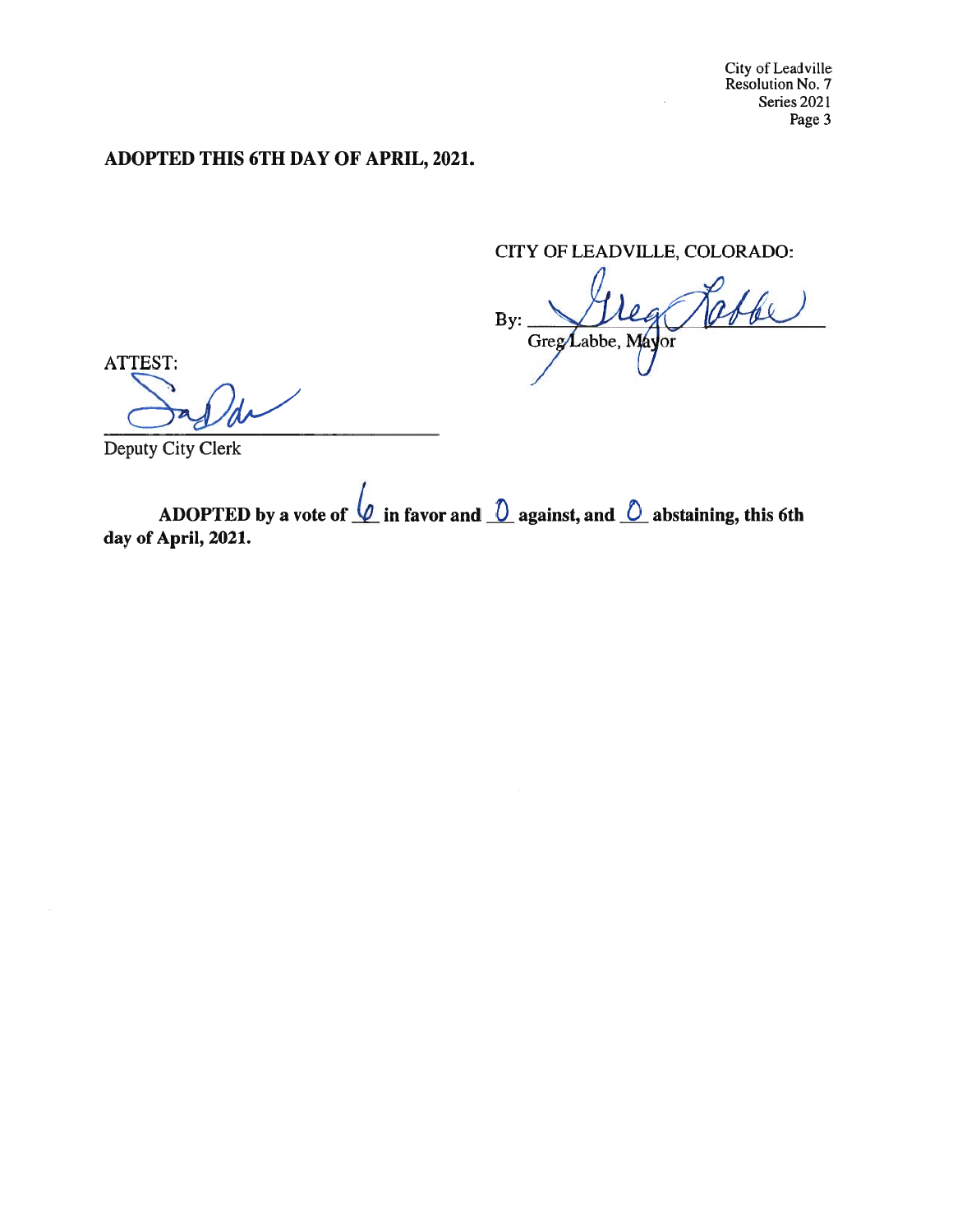# ADOPTED THIS 6TH DAY OF APRIL, 2021.

CITY OF LEADVILLE, COLORADO:

By: Greg Labbe, Mayor

ATTEST:

Deputy City Clerk

ADOPTED by a vote of  $\mathcal Q$  in favor and  $\mathcal Q$  against, and  $\mathcal Q$  abstaining, this 6th day of April, 2021.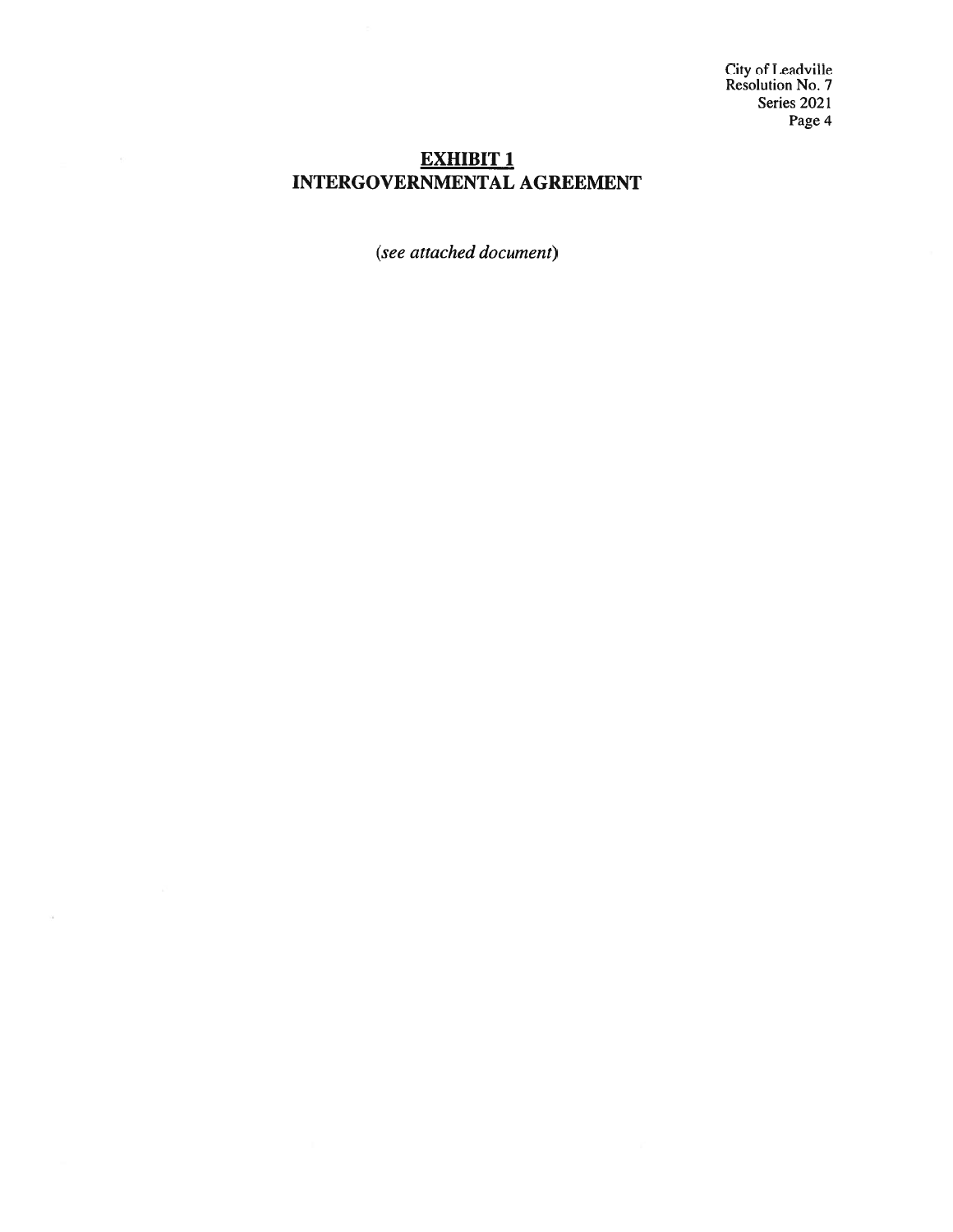City of Leadville<br>Resolution No. 7 Series 2021 Page 4

## **EXHIBIT 1 INTERGOVERNMENTAL AGREEMENT**

(see attached document)

 $\sim$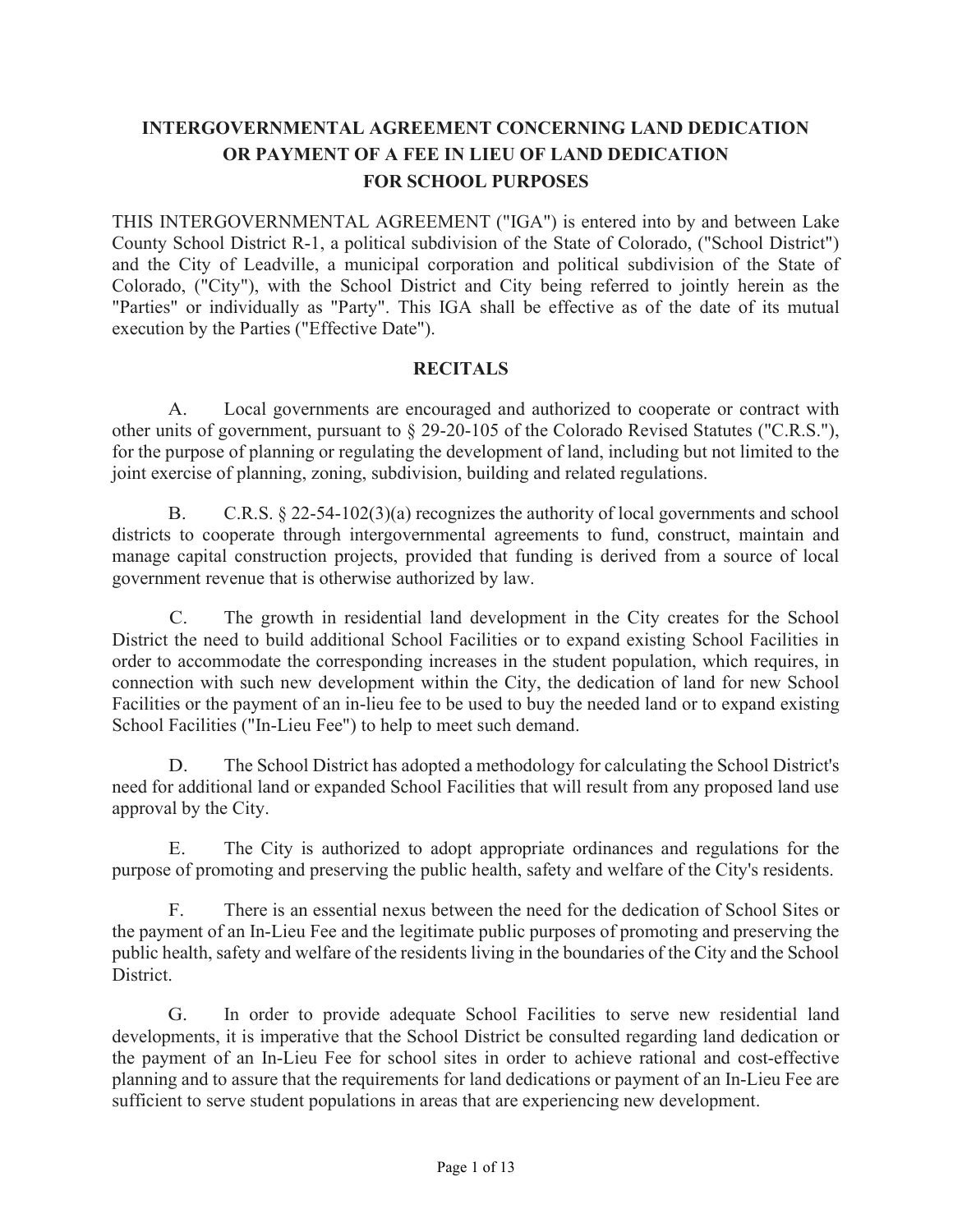# INTERGOVERNMENTAL AGREEMENT CONCERNING LAND DEDICATION OR PAYMENT OF A FEE IN LIEU OF LAND DEDICATION FOR SCHOOL PURPOSES

THIS INTERGOVERNMENTAL AGREEMENT ("IGA") is entered into by and between Lake County School District R-1, a political subdivision of the State of Colorado, ("School District") and the City of Leadville, a municipal corporation and political subdivision of the State of Colorado, ("City"), with the School District and City being referred to jointly herein as the "Parties" or individually as "Party". This IGA shall be effective as of the date of its mutual execution by the Parties ("Effective Date").

#### **RECITALS**

A. Local governments are encouraged and authorized to cooperate or contract with other units of government, pursuant to § 29-20-105 of the Colorado Revised Statutes ("C.R.S."), for the purpose of planning or regulating the development of land, including but not limited to the joint exercise of planning, zoning, subdivision, building and related regulations.

B. C.R.S. § 22-54-102(3)(a) recognizes the authority of local governments and school districts to cooperate through intergovernmental agreements to fund, construct, maintain and manage capital construction projects, provided that funding is derived from a source of local government revenue that is otherwise authorized by law.

C. The growth in residential land development in the City creates for the School District the need to build additional School Facilities or to expand existing School Facilities in order to accommodate the corresponding increases in the student population, which requires, in connection with such new development within the City, the dedication of land for new School Facilities or the payment of an in-lieu fee to be used to buy the needed land or to expand existing School Facilities ("In-Lieu Fee") to help to meet such demand.

D. The School District has adopted a methodology for calculating the School District's need for additional land or expanded School Facilities that will result from any proposed land use approval by the City.

E. The City is authorized to adopt appropriate ordinances and regulations for the purpose of promoting and preserving the public health, safety and welfare of the City's residents.

F. There is an essential nexus between the need for the dedication of School Sites or the payment of an In-Lieu Fee and the legitimate public purposes of promoting and preserving the public health, safety and welfare of the residents living in the boundaries of the City and the School District.

G. In order to provide adequate School Facilities to serve new residential land developments, it is imperative that the School District be consulted regarding land dedication or the payment of an In-Lieu Fee for school sites in order to achieve rational and cost-effective planning and to assure that the requirements for land dedications or payment of an In-Lieu Fee are sufficient to serve student populations in areas that are experiencing new development.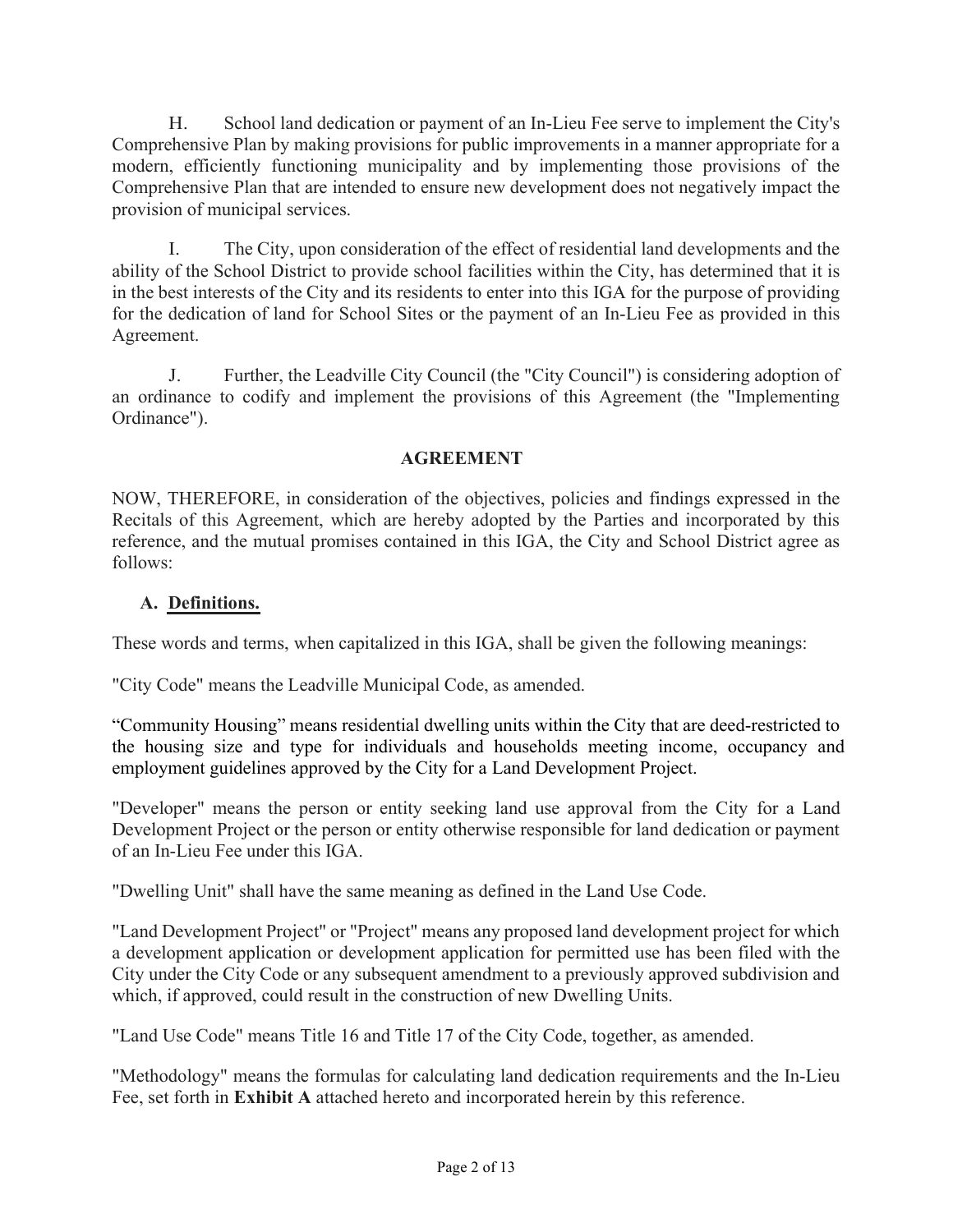H. School land dedication or payment of an In-Lieu Fee serve to implement the City's Comprehensive Plan by making provisions for public improvements in a manner appropriate for a modern, efficiently functioning municipality and by implementing those provisions of the Comprehensive Plan that are intended to ensure new development does not negatively impact the provision of municipal services.

I. The City, upon consideration of the effect of residential land developments and the ability of the School District to provide school facilities within the City, has determined that it is in the best interests of the City and its residents to enter into this IGA for the purpose of providing for the dedication of land for School Sites or the payment of an In-Lieu Fee as provided in this Agreement.

J. Further, the Leadville City Council (the "City Council") is considering adoption of an ordinance to codify and implement the provisions of this Agreement (the "Implementing Ordinance").

### AGREEMENT

NOW, THEREFORE, in consideration of the objectives, policies and findings expressed in the Recitals of this Agreement, which are hereby adopted by the Parties and incorporated by this reference, and the mutual promises contained in this IGA, the City and School District agree as follows:

### A. Definitions.

These words and terms, when capitalized in this IGA, shall be given the following meanings:

"City Code" means the Leadville Municipal Code, as amended.

"Community Housing" means residential dwelling units within the City that are deed-restricted to the housing size and type for individuals and households meeting income, occupancy and employment guidelines approved by the City for a Land Development Project.

"Developer" means the person or entity seeking land use approval from the City for a Land Development Project or the person or entity otherwise responsible for land dedication or payment of an In-Lieu Fee under this IGA.

"Dwelling Unit" shall have the same meaning as defined in the Land Use Code.

"Land Development Project" or "Project" means any proposed land development project for which a development application or development application for permitted use has been filed with the City under the City Code or any subsequent amendment to a previously approved subdivision and which, if approved, could result in the construction of new Dwelling Units.

"Land Use Code" means Title 16 and Title 17 of the City Code, together, as amended.

"Methodology" means the formulas for calculating land dedication requirements and the In-Lieu Fee, set forth in Exhibit A attached hereto and incorporated herein by this reference.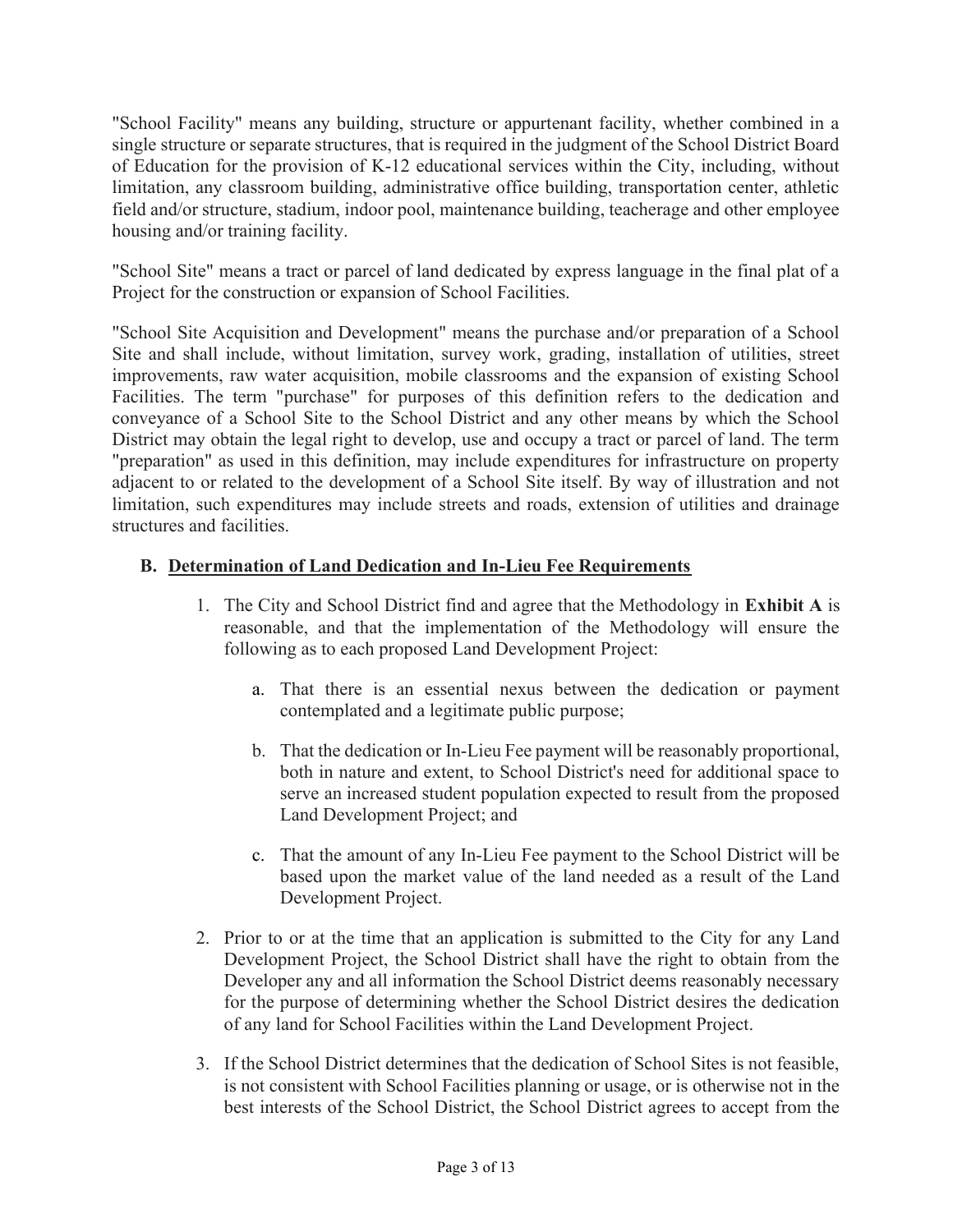"School Facility" means any building, structure or appurtenant facility, whether combined in a single structure or separate structures, that is required in the judgment of the School District Board of Education for the provision of K-12 educational services within the City, including, without limitation, any classroom building, administrative office building, transportation center, athletic field and/or structure, stadium, indoor pool, maintenance building, teacherage and other employee housing and/or training facility.

"School Site" means a tract or parcel of land dedicated by express language in the final plat of a Project for the construction or expansion of School Facilities.

"School Site Acquisition and Development" means the purchase and/or preparation of a School Site and shall include, without limitation, survey work, grading, installation of utilities, street improvements, raw water acquisition, mobile classrooms and the expansion of existing School Facilities. The term "purchase" for purposes of this definition refers to the dedication and conveyance of a School Site to the School District and any other means by which the School District may obtain the legal right to develop, use and occupy a tract or parcel of land. The term "preparation" as used in this definition, may include expenditures for infrastructure on property adjacent to or related to the development of a School Site itself. By way of illustration and not limitation, such expenditures may include streets and roads, extension of utilities and drainage structures and facilities.

### B. Determination of Land Dedication and In-Lieu Fee Requirements

- 1. The City and School District find and agree that the Methodology in Exhibit A is reasonable, and that the implementation of the Methodology will ensure the following as to each proposed Land Development Project:
	- a. That there is an essential nexus between the dedication or payment contemplated and a legitimate public purpose;
	- b. That the dedication or In-Lieu Fee payment will be reasonably proportional, both in nature and extent, to School District's need for additional space to serve an increased student population expected to result from the proposed Land Development Project; and
	- c. That the amount of any In-Lieu Fee payment to the School District will be based upon the market value of the land needed as a result of the Land Development Project.
- 2. Prior to or at the time that an application is submitted to the City for any Land Development Project, the School District shall have the right to obtain from the Developer any and all information the School District deems reasonably necessary for the purpose of determining whether the School District desires the dedication of any land for School Facilities within the Land Development Project.
- 3. If the School District determines that the dedication of School Sites is not feasible, is not consistent with School Facilities planning or usage, or is otherwise not in the best interests of the School District, the School District agrees to accept from the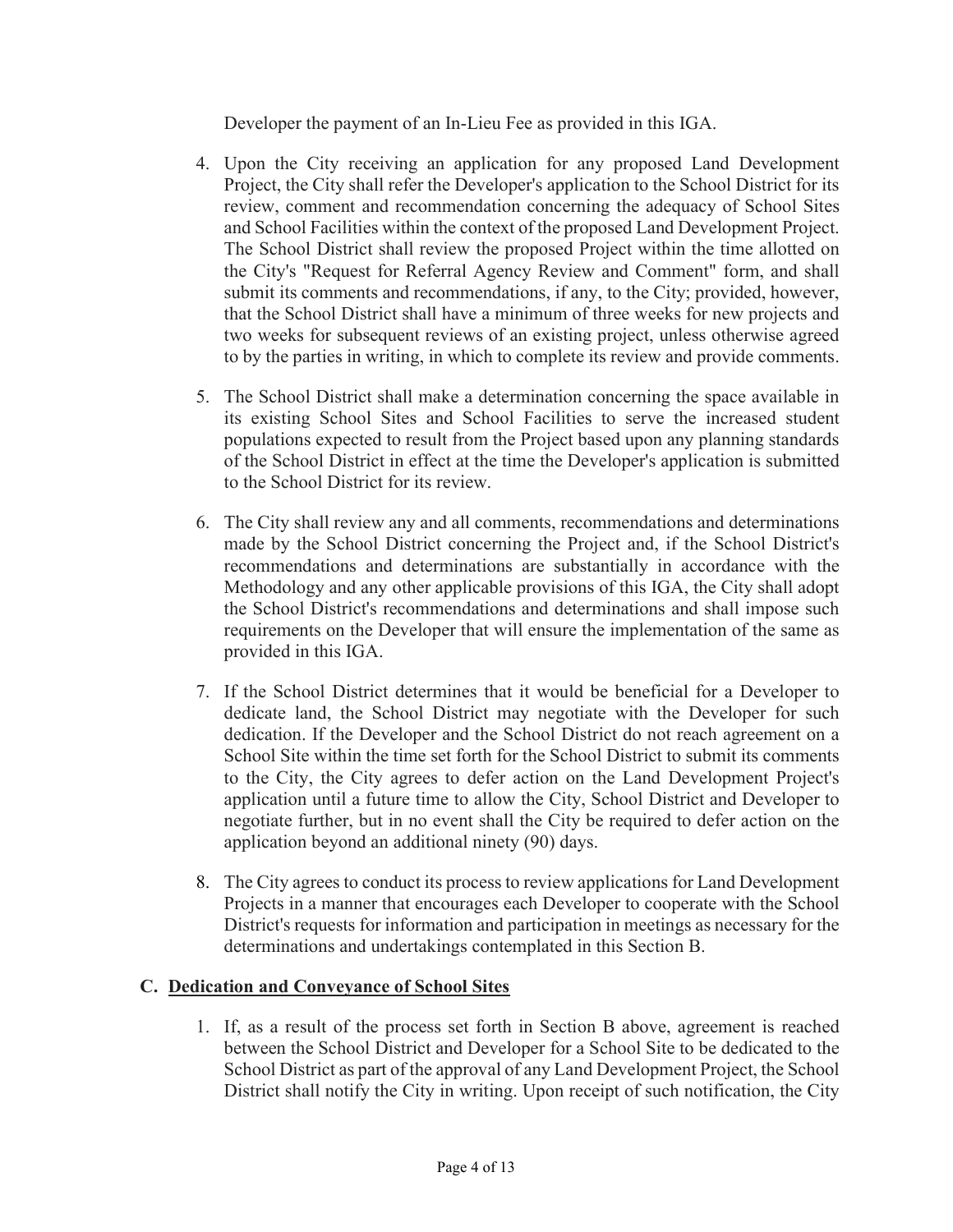Developer the payment of an In-Lieu Fee as provided in this IGA.

- 4. Upon the City receiving an application for any proposed Land Development Project, the City shall refer the Developer's application to the School District for its review, comment and recommendation concerning the adequacy of School Sites and School Facilities within the context of the proposed Land Development Project. The School District shall review the proposed Project within the time allotted on the City's "Request for Referral Agency Review and Comment" form, and shall submit its comments and recommendations, if any, to the City; provided, however, that the School District shall have a minimum of three weeks for new projects and two weeks for subsequent reviews of an existing project, unless otherwise agreed to by the parties in writing, in which to complete its review and provide comments.
- 5. The School District shall make a determination concerning the space available in its existing School Sites and School Facilities to serve the increased student populations expected to result from the Project based upon any planning standards of the School District in effect at the time the Developer's application is submitted to the School District for its review.
- 6. The City shall review any and all comments, recommendations and determinations made by the School District concerning the Project and, if the School District's recommendations and determinations are substantially in accordance with the Methodology and any other applicable provisions of this IGA, the City shall adopt the School District's recommendations and determinations and shall impose such requirements on the Developer that will ensure the implementation of the same as provided in this IGA.
- 7. If the School District determines that it would be beneficial for a Developer to dedicate land, the School District may negotiate with the Developer for such dedication. If the Developer and the School District do not reach agreement on a School Site within the time set forth for the School District to submit its comments to the City, the City agrees to defer action on the Land Development Project's application until a future time to allow the City, School District and Developer to negotiate further, but in no event shall the City be required to defer action on the application beyond an additional ninety (90) days.
- 8. The City agrees to conduct its process to review applications for Land Development Projects in a manner that encourages each Developer to cooperate with the School District's requests for information and participation in meetings as necessary for the determinations and undertakings contemplated in this Section B.

#### C. Dedication and Conveyance of School Sites

1. If, as a result of the process set forth in Section B above, agreement is reached between the School District and Developer for a School Site to be dedicated to the School District as part of the approval of any Land Development Project, the School District shall notify the City in writing. Upon receipt of such notification, the City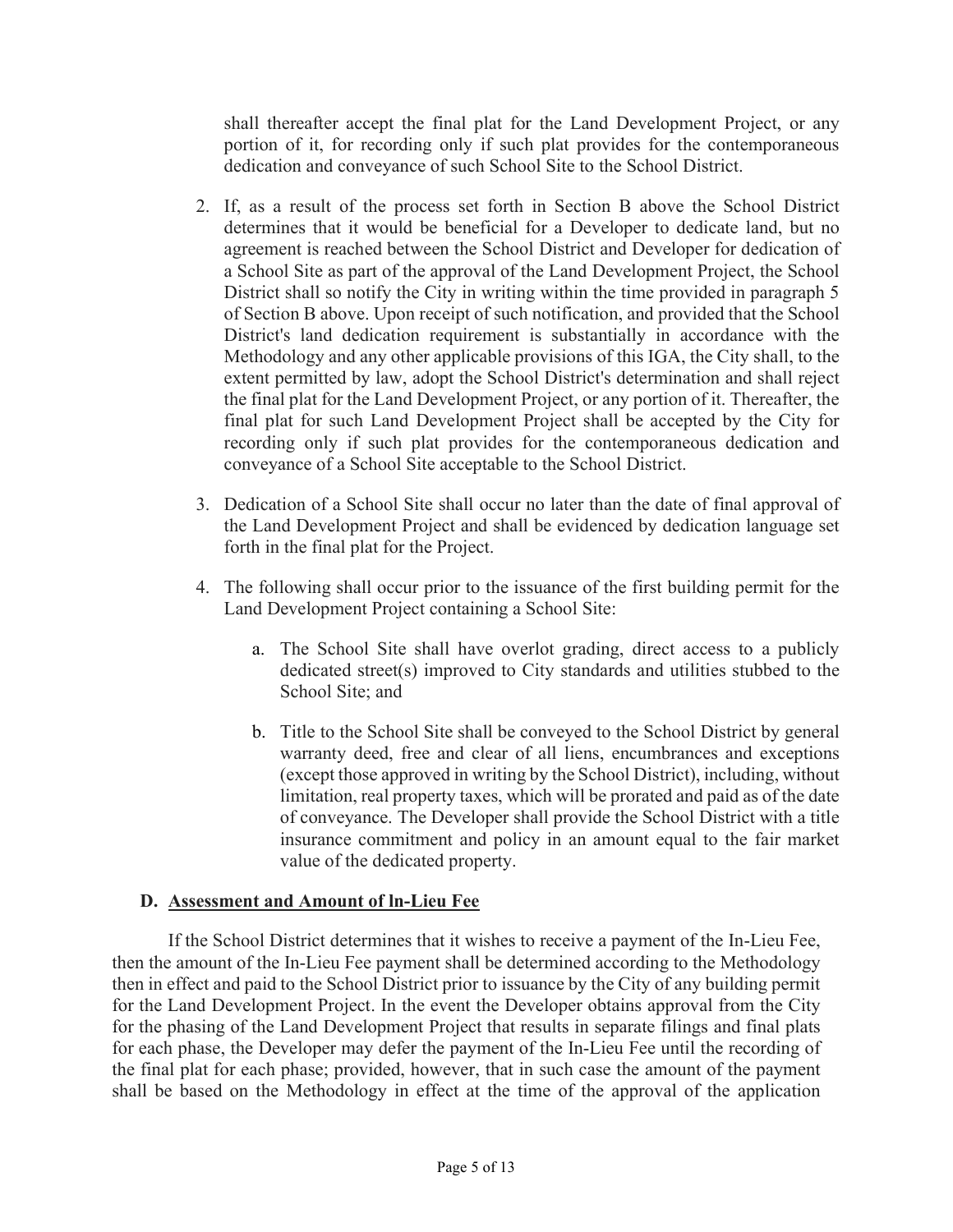shall thereafter accept the final plat for the Land Development Project, or any portion of it, for recording only if such plat provides for the contemporaneous dedication and conveyance of such School Site to the School District.

- 2. If, as a result of the process set forth in Section B above the School District determines that it would be beneficial for a Developer to dedicate land, but no agreement is reached between the School District and Developer for dedication of a School Site as part of the approval of the Land Development Project, the School District shall so notify the City in writing within the time provided in paragraph 5 of Section B above. Upon receipt of such notification, and provided that the School District's land dedication requirement is substantially in accordance with the Methodology and any other applicable provisions of this IGA, the City shall, to the extent permitted by law, adopt the School District's determination and shall reject the final plat for the Land Development Project, or any portion of it. Thereafter, the final plat for such Land Development Project shall be accepted by the City for recording only if such plat provides for the contemporaneous dedication and conveyance of a School Site acceptable to the School District.
- 3. Dedication of a School Site shall occur no later than the date of final approval of the Land Development Project and shall be evidenced by dedication language set forth in the final plat for the Project.
- 4. The following shall occur prior to the issuance of the first building permit for the Land Development Project containing a School Site:
	- a. The School Site shall have overlot grading, direct access to a publicly dedicated street(s) improved to City standards and utilities stubbed to the School Site; and
	- b. Title to the School Site shall be conveyed to the School District by general warranty deed, free and clear of all liens, encumbrances and exceptions (except those approved in writing by the School District), including, without limitation, real property taxes, which will be prorated and paid as of the date of conveyance. The Developer shall provide the School District with a title insurance commitment and policy in an amount equal to the fair market value of the dedicated property.

#### D. Assessment and Amount of ln-Lieu Fee

If the School District determines that it wishes to receive a payment of the In-Lieu Fee, then the amount of the In-Lieu Fee payment shall be determined according to the Methodology then in effect and paid to the School District prior to issuance by the City of any building permit for the Land Development Project. In the event the Developer obtains approval from the City for the phasing of the Land Development Project that results in separate filings and final plats for each phase, the Developer may defer the payment of the In-Lieu Fee until the recording of the final plat for each phase; provided, however, that in such case the amount of the payment shall be based on the Methodology in effect at the time of the approval of the application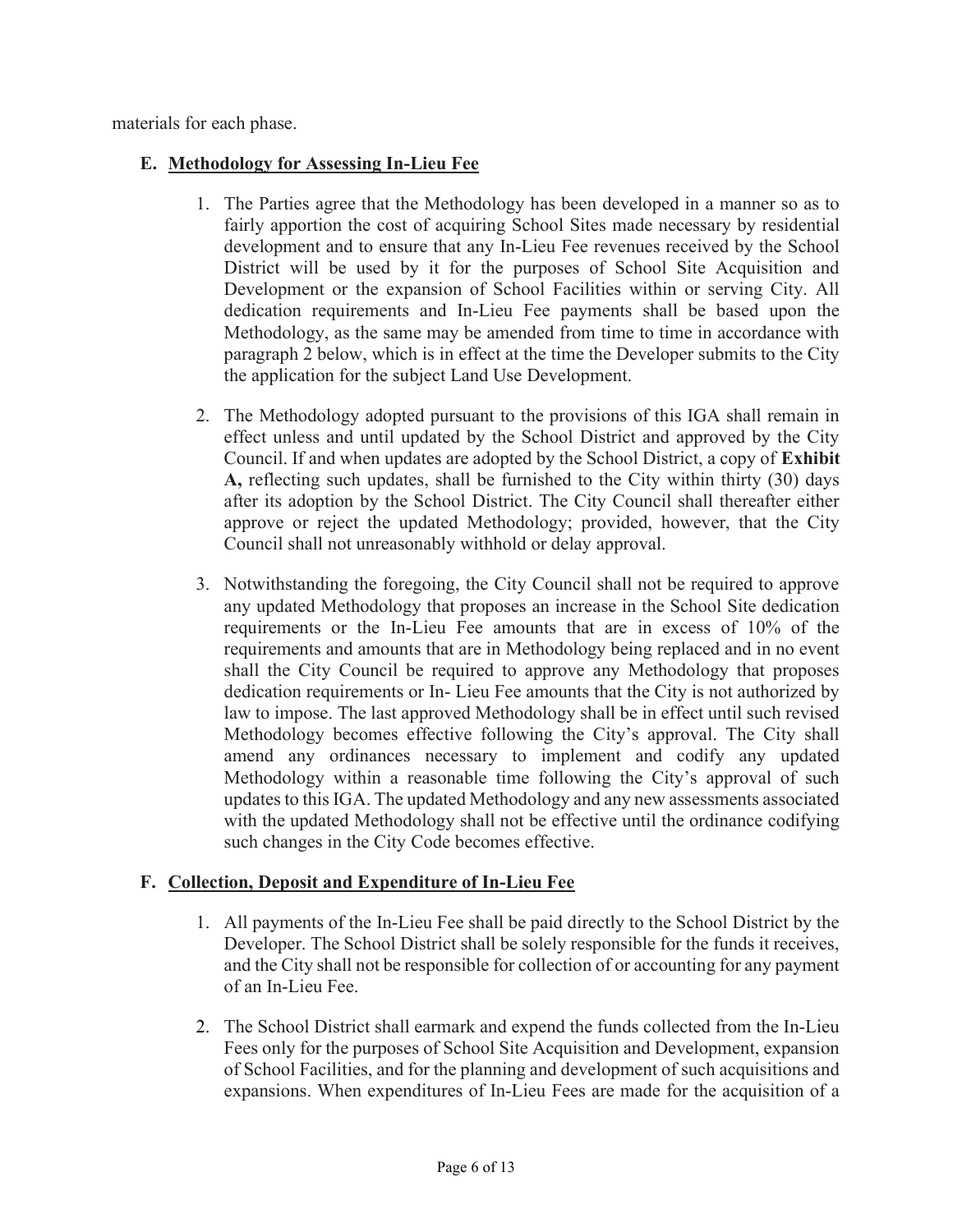materials for each phase.

#### E. Methodology for Assessing In-Lieu Fee

- 1. The Parties agree that the Methodology has been developed in a manner so as to fairly apportion the cost of acquiring School Sites made necessary by residential development and to ensure that any In-Lieu Fee revenues received by the School District will be used by it for the purposes of School Site Acquisition and Development or the expansion of School Facilities within or serving City. All dedication requirements and In-Lieu Fee payments shall be based upon the Methodology, as the same may be amended from time to time in accordance with paragraph 2 below, which is in effect at the time the Developer submits to the City the application for the subject Land Use Development.
- 2. The Methodology adopted pursuant to the provisions of this IGA shall remain in effect unless and until updated by the School District and approved by the City Council. If and when updates are adopted by the School District, a copy of Exhibit A, reflecting such updates, shall be furnished to the City within thirty (30) days after its adoption by the School District. The City Council shall thereafter either approve or reject the updated Methodology; provided, however, that the City Council shall not unreasonably withhold or delay approval.
- 3. Notwithstanding the foregoing, the City Council shall not be required to approve any updated Methodology that proposes an increase in the School Site dedication requirements or the In-Lieu Fee amounts that are in excess of 10% of the requirements and amounts that are in Methodology being replaced and in no event shall the City Council be required to approve any Methodology that proposes dedication requirements or In- Lieu Fee amounts that the City is not authorized by law to impose. The last approved Methodology shall be in effect until such revised Methodology becomes effective following the City's approval. The City shall amend any ordinances necessary to implement and codify any updated Methodology within a reasonable time following the City's approval of such updates to this IGA. The updated Methodology and any new assessments associated with the updated Methodology shall not be effective until the ordinance codifying such changes in the City Code becomes effective.

#### F. Collection, Deposit and Expenditure of In-Lieu Fee

- 1. All payments of the In-Lieu Fee shall be paid directly to the School District by the Developer. The School District shall be solely responsible for the funds it receives, and the City shall not be responsible for collection of or accounting for any payment of an In-Lieu Fee.
- 2. The School District shall earmark and expend the funds collected from the In-Lieu Fees only for the purposes of School Site Acquisition and Development, expansion of School Facilities, and for the planning and development of such acquisitions and expansions. When expenditures of In-Lieu Fees are made for the acquisition of a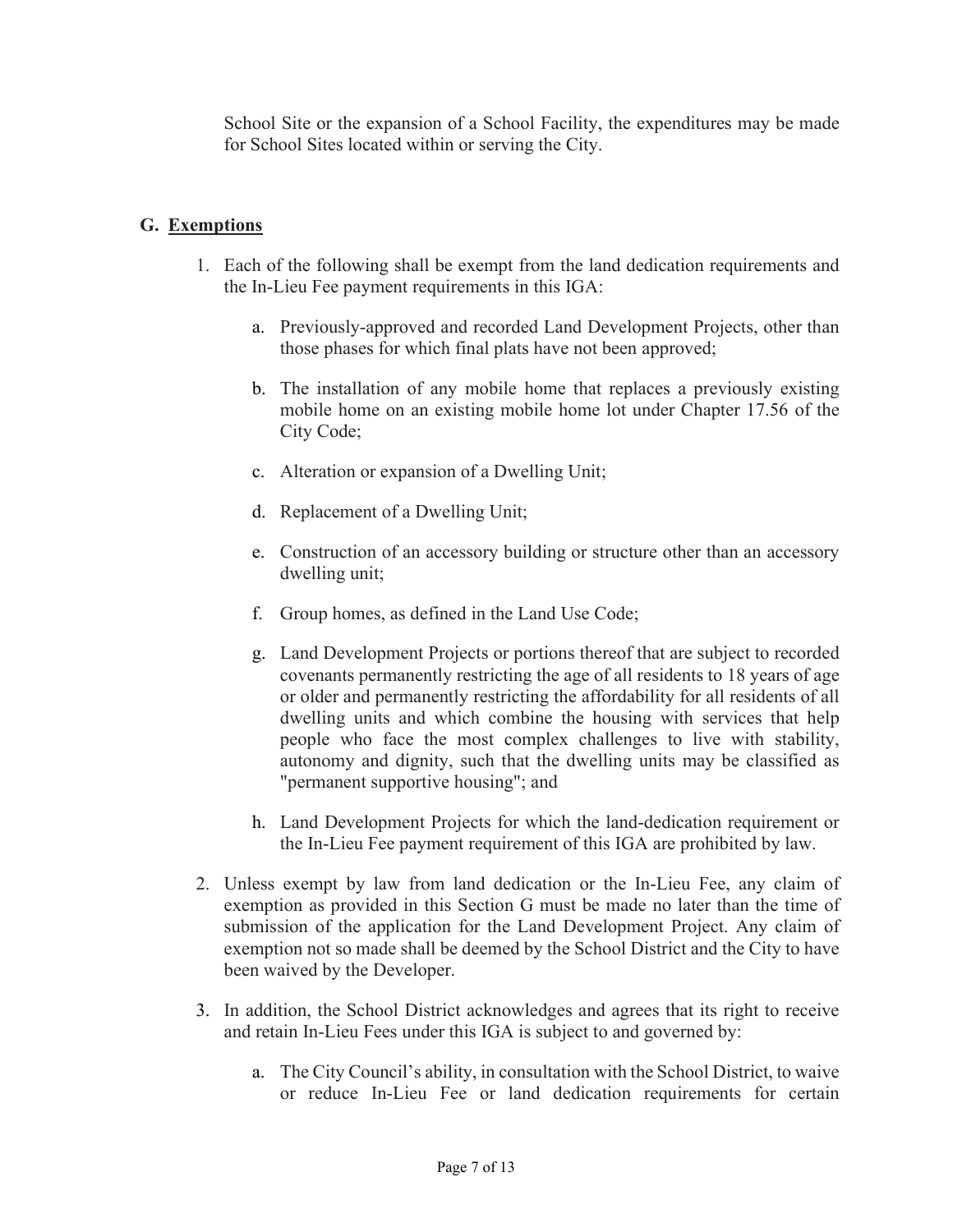School Site or the expansion of a School Facility, the expenditures may be made for School Sites located within or serving the City.

#### G. Exemptions

- 1. Each of the following shall be exempt from the land dedication requirements and the In-Lieu Fee payment requirements in this IGA:
	- a. Previously-approved and recorded Land Development Projects, other than those phases for which final plats have not been approved;
	- b. The installation of any mobile home that replaces a previously existing mobile home on an existing mobile home lot under Chapter 17.56 of the City Code;
	- c. Alteration or expansion of a Dwelling Unit;
	- d. Replacement of a Dwelling Unit;
	- e. Construction of an accessory building or structure other than an accessory dwelling unit;
	- f. Group homes, as defined in the Land Use Code;
	- g. Land Development Projects or portions thereof that are subject to recorded covenants permanently restricting the age of all residents to 18 years of age or older and permanently restricting the affordability for all residents of all dwelling units and which combine the housing with services that help people who face the most complex challenges to live with stability, autonomy and dignity, such that the dwelling units may be classified as "permanent supportive housing"; and
	- h. Land Development Projects for which the land-dedication requirement or the In-Lieu Fee payment requirement of this IGA are prohibited by law.
- 2. Unless exempt by law from land dedication or the In-Lieu Fee, any claim of exemption as provided in this Section G must be made no later than the time of submission of the application for the Land Development Project. Any claim of exemption not so made shall be deemed by the School District and the City to have been waived by the Developer.
- 3. In addition, the School District acknowledges and agrees that its right to receive and retain In-Lieu Fees under this IGA is subject to and governed by:
	- a. The City Council's ability, in consultation with the School District, to waive or reduce In-Lieu Fee or land dedication requirements for certain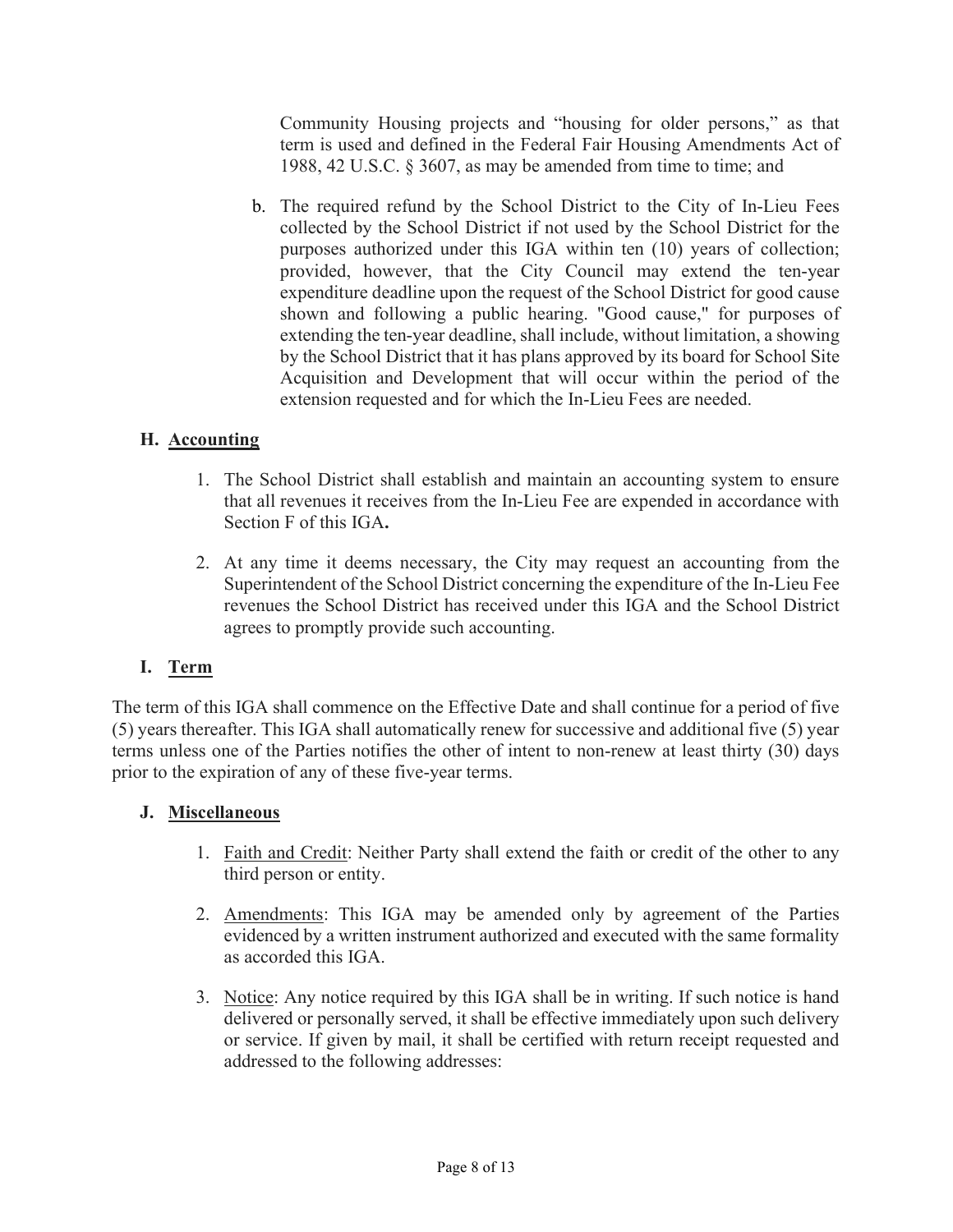Community Housing projects and "housing for older persons," as that term is used and defined in the Federal Fair Housing Amendments Act of 1988, 42 U.S.C. § 3607, as may be amended from time to time; and

b. The required refund by the School District to the City of In-Lieu Fees collected by the School District if not used by the School District for the purposes authorized under this IGA within ten (10) years of collection; provided, however, that the City Council may extend the ten-year expenditure deadline upon the request of the School District for good cause shown and following a public hearing. "Good cause," for purposes of extending the ten-year deadline, shall include, without limitation, a showing by the School District that it has plans approved by its board for School Site Acquisition and Development that will occur within the period of the extension requested and for which the In-Lieu Fees are needed.

## H. Accounting

- 1. The School District shall establish and maintain an accounting system to ensure that all revenues it receives from the In-Lieu Fee are expended in accordance with Section F of this IGA.
- 2. At any time it deems necessary, the City may request an accounting from the Superintendent of the School District concerning the expenditure of the In-Lieu Fee revenues the School District has received under this IGA and the School District agrees to promptly provide such accounting.

#### I. Term

The term of this IGA shall commence on the Effective Date and shall continue for a period of five (5) years thereafter. This IGA shall automatically renew for successive and additional five (5) year terms unless one of the Parties notifies the other of intent to non-renew at least thirty (30) days prior to the expiration of any of these five-year terms.

#### J. Miscellaneous

- 1. Faith and Credit: Neither Party shall extend the faith or credit of the other to any third person or entity.
- 2. Amendments: This IGA may be amended only by agreement of the Parties evidenced by a written instrument authorized and executed with the same formality as accorded this IGA.
- 3. Notice: Any notice required by this IGA shall be in writing. If such notice is hand delivered or personally served, it shall be effective immediately upon such delivery or service. If given by mail, it shall be certified with return receipt requested and addressed to the following addresses: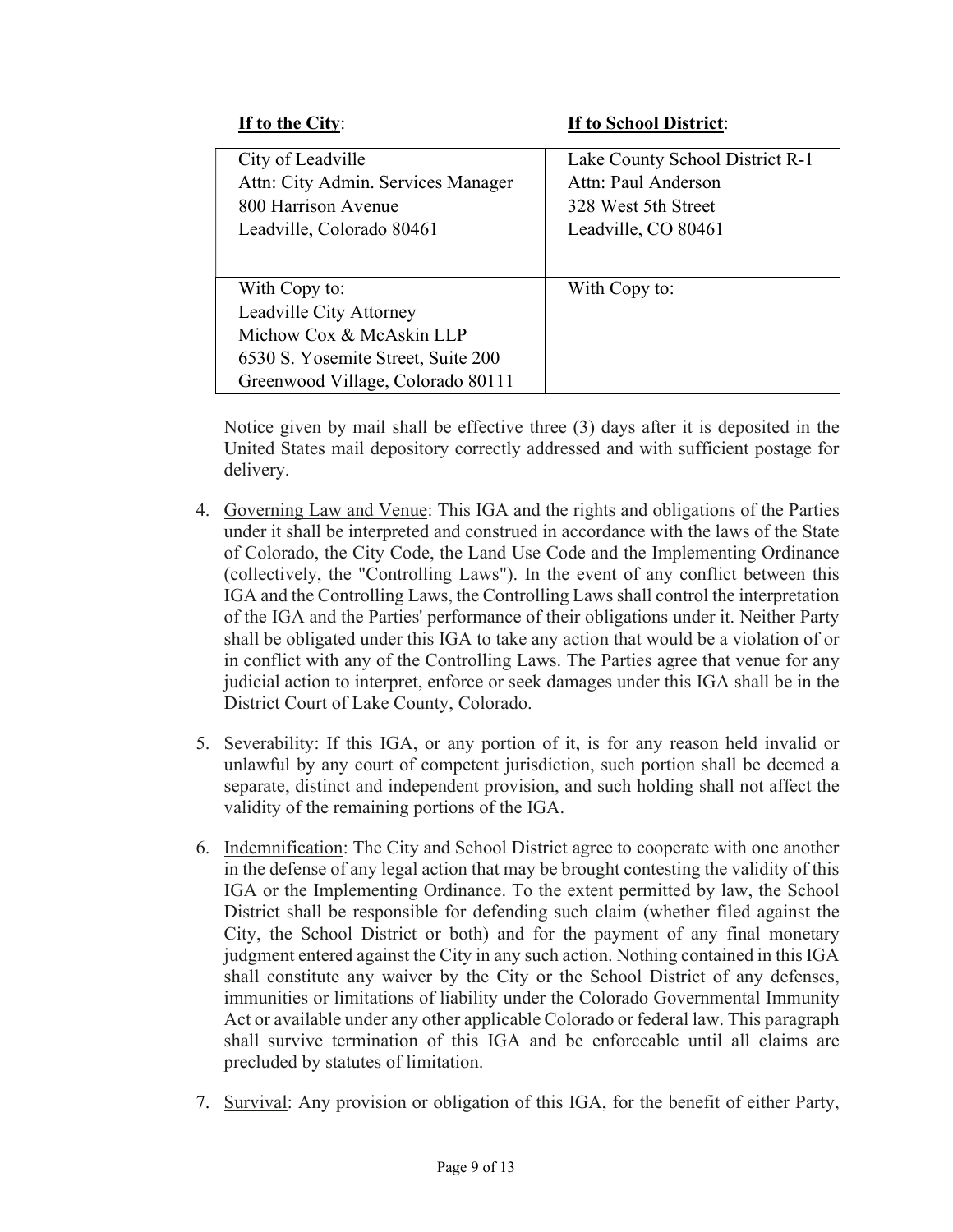If to the City: If to School District:

| City of Leadville<br>Attn: City Admin. Services Manager<br>800 Harrison Avenue<br>Leadville, Colorado 80461 | Lake County School District R-1<br>Attn: Paul Anderson<br>328 West 5th Street<br>Leadville, CO 80461 |
|-------------------------------------------------------------------------------------------------------------|------------------------------------------------------------------------------------------------------|
| With Copy to:                                                                                               | With Copy to:                                                                                        |
| Leadville City Attorney                                                                                     |                                                                                                      |
| Michow Cox & McAskin LLP                                                                                    |                                                                                                      |
| 6530 S. Yosemite Street, Suite 200                                                                          |                                                                                                      |
| Greenwood Village, Colorado 80111                                                                           |                                                                                                      |

Notice given by mail shall be effective three (3) days after it is deposited in the United States mail depository correctly addressed and with sufficient postage for delivery.

- 4. Governing Law and Venue: This IGA and the rights and obligations of the Parties under it shall be interpreted and construed in accordance with the laws of the State of Colorado, the City Code, the Land Use Code and the Implementing Ordinance (collectively, the "Controlling Laws"). In the event of any conflict between this IGA and the Controlling Laws, the Controlling Laws shall control the interpretation of the IGA and the Parties' performance of their obligations under it. Neither Party shall be obligated under this IGA to take any action that would be a violation of or in conflict with any of the Controlling Laws. The Parties agree that venue for any judicial action to interpret, enforce or seek damages under this IGA shall be in the District Court of Lake County, Colorado.
- 5. Severability: If this IGA, or any portion of it, is for any reason held invalid or unlawful by any court of competent jurisdiction, such portion shall be deemed a separate, distinct and independent provision, and such holding shall not affect the validity of the remaining portions of the IGA.
- 6. Indemnification: The City and School District agree to cooperate with one another in the defense of any legal action that may be brought contesting the validity of this IGA or the Implementing Ordinance. To the extent permitted by law, the School District shall be responsible for defending such claim (whether filed against the City, the School District or both) and for the payment of any final monetary judgment entered against the City in any such action. Nothing contained in this IGA shall constitute any waiver by the City or the School District of any defenses, immunities or limitations of liability under the Colorado Governmental Immunity Act or available under any other applicable Colorado or federal law. This paragraph shall survive termination of this IGA and be enforceable until all claims are precluded by statutes of limitation.
- 7. Survival: Any provision or obligation of this IGA, for the benefit of either Party,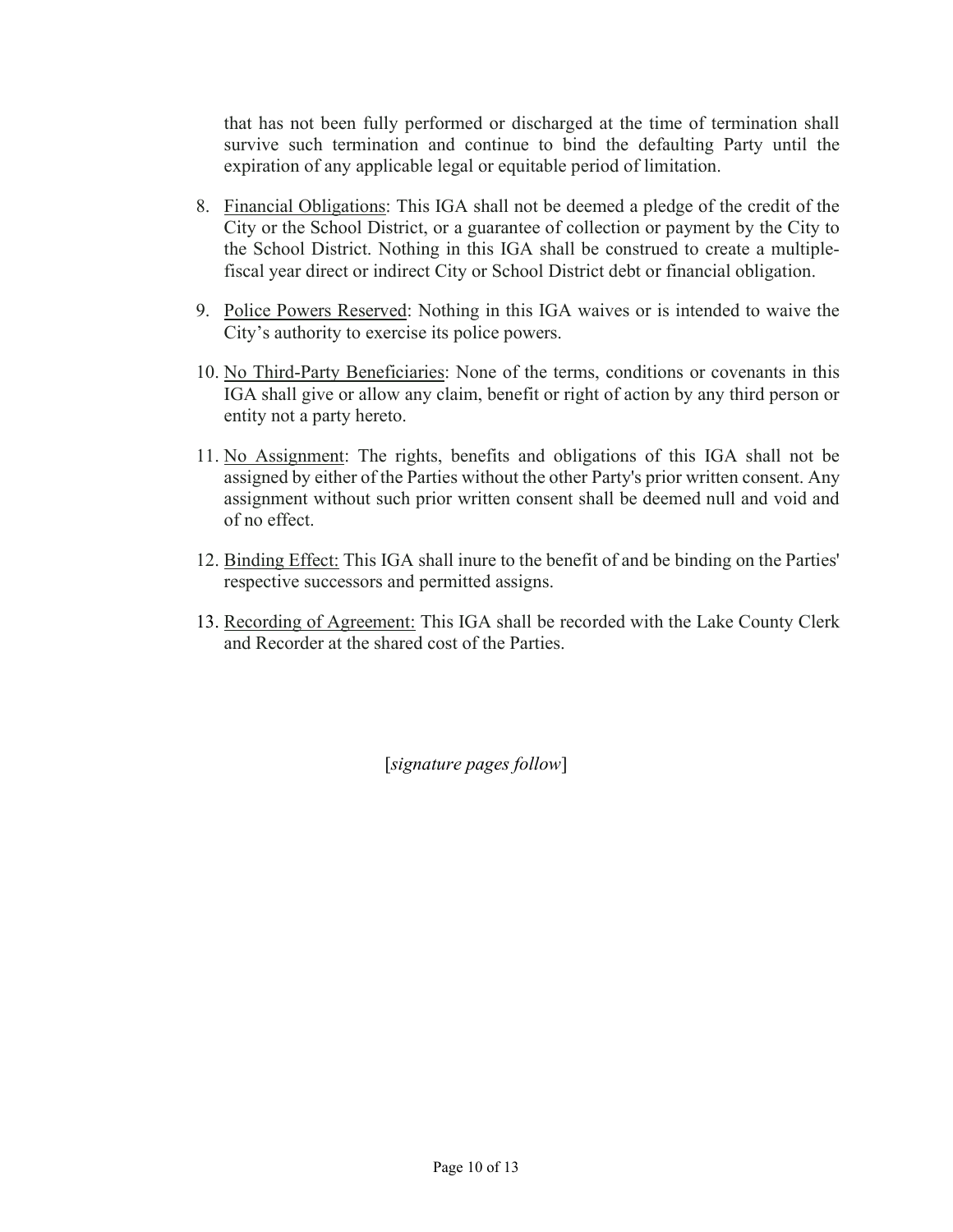that has not been fully performed or discharged at the time of termination shall survive such termination and continue to bind the defaulting Party until the expiration of any applicable legal or equitable period of limitation.

- 8. Financial Obligations: This IGA shall not be deemed a pledge of the credit of the City or the School District, or a guarantee of collection or payment by the City to the School District. Nothing in this IGA shall be construed to create a multiplefiscal year direct or indirect City or School District debt or financial obligation.
- 9. Police Powers Reserved: Nothing in this IGA waives or is intended to waive the City's authority to exercise its police powers.
- 10. No Third-Party Beneficiaries: None of the terms, conditions or covenants in this IGA shall give or allow any claim, benefit or right of action by any third person or entity not a party hereto.
- 11. No Assignment: The rights, benefits and obligations of this IGA shall not be assigned by either of the Parties without the other Party's prior written consent. Any assignment without such prior written consent shall be deemed null and void and of no effect.
- 12. Binding Effect: This IGA shall inure to the benefit of and be binding on the Parties' respective successors and permitted assigns.
- 13. Recording of Agreement: This IGA shall be recorded with the Lake County Clerk and Recorder at the shared cost of the Parties.

[signature pages follow]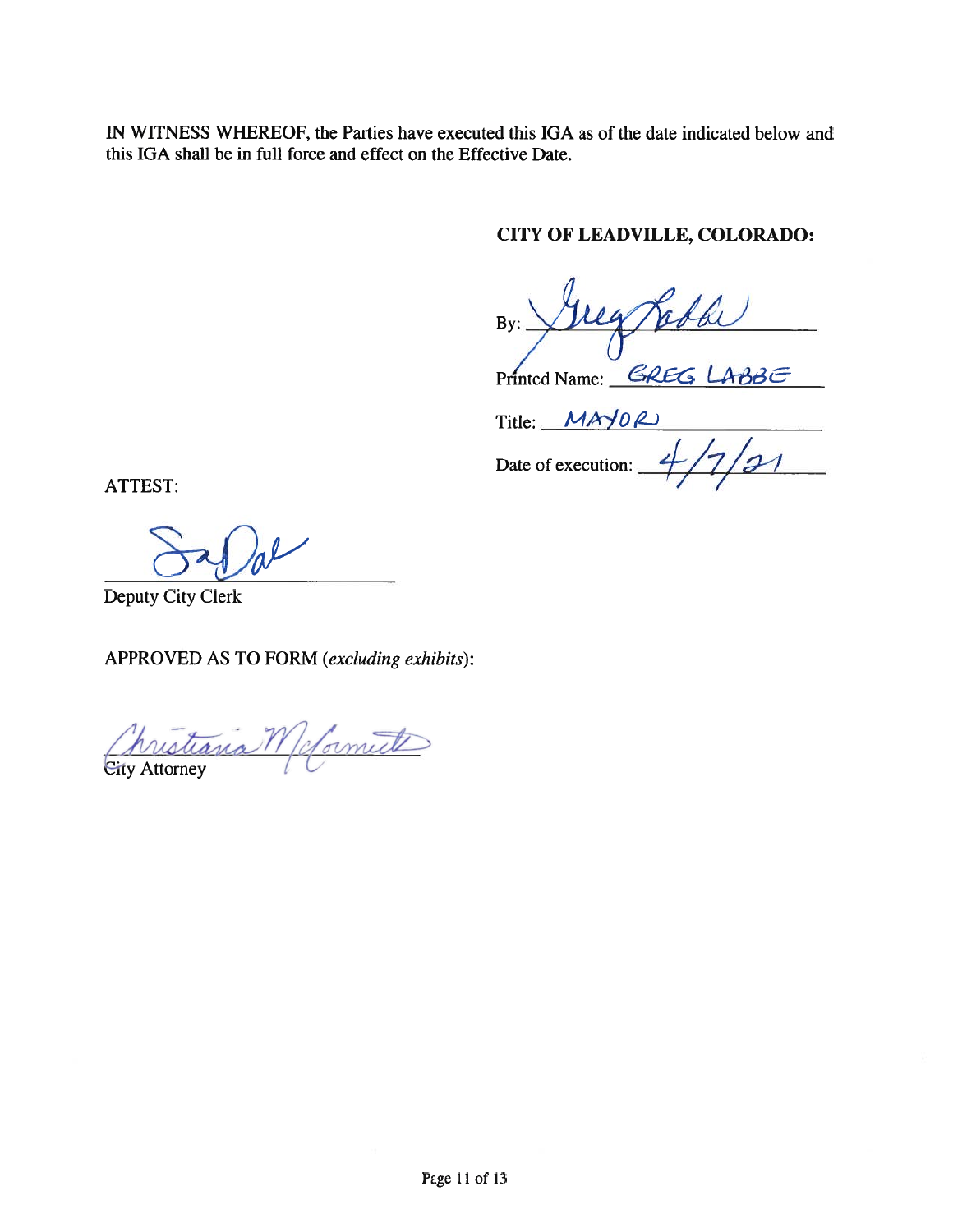IN WITNESS WHEREOF, the Parties have executed this IGA as of the date indicated below and this IGA shall be in full force and effect on the Effective Date.

## CITY OF LEADVILLE, COLORADO:

Jug obbe  $By:$ 

Printed Name: GREG LABBE

 $Title:$   $MAPOL$ 

Date of execution:  $\frac{4}{7221}$ 

ATTEST:

Deputy City Clerk

APPROVED AS TO FORM (excluding exhibits):

hristiania M (cformite)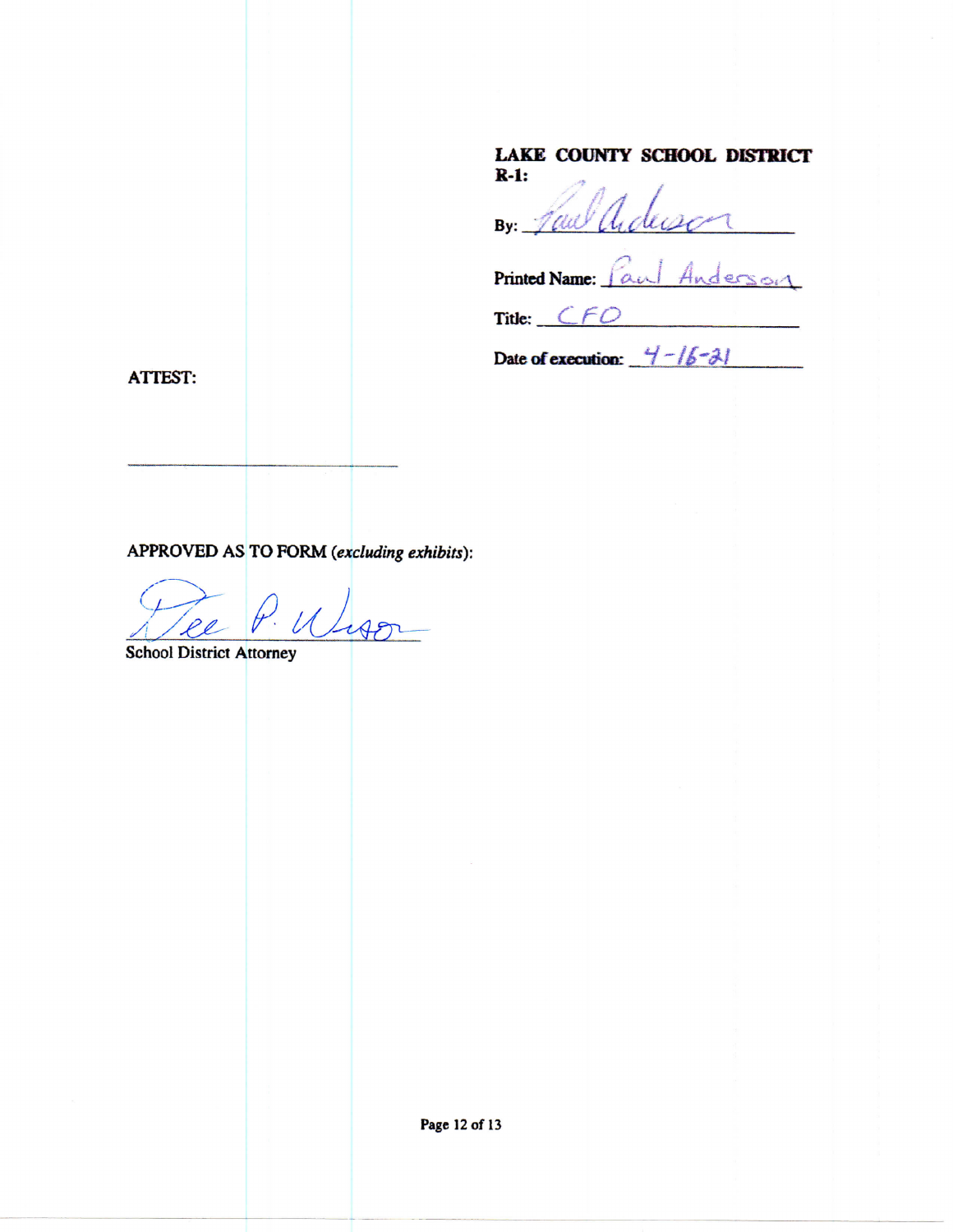#### LAKE COUNTY SCHOOL DISTRICT  $R-1:$

By: Law adec 

Printed Name: Paul Anderson

Title: CFO

Date of execution:  $4 - 16 - 31$ 

**ATTEST:** 

APPROVED AS TO FORM (excluding exhibits):

Wiso

**School District Attorney** 

Page 12 of 13